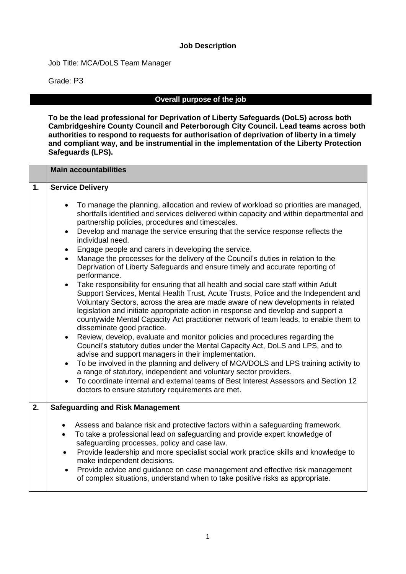#### **Job Description**

Job Title: MCA/DoLS Team Manager

Grade: P3

#### **Overall purpose of the job**

**To be the lead professional for Deprivation of Liberty Safeguards (DoLS) across both Cambridgeshire County Council and Peterborough City Council. Lead teams across both authorities to respond to requests for authorisation of deprivation of liberty in a timely and compliant way, and be instrumential in the implementation of the Liberty Protection Safeguards (LPS).**

|    | <b>Main accountabilities</b>                                                                                                                                                                                                                                                                                                                                                                                                                                                                                                                                                                                                                                                                                                                                                                                                                                                                                                                                                                                                                                                                                                                                                                                                                                                                                                                                                                                                                                                                                                                                                                                                                 |  |  |  |  |  |
|----|----------------------------------------------------------------------------------------------------------------------------------------------------------------------------------------------------------------------------------------------------------------------------------------------------------------------------------------------------------------------------------------------------------------------------------------------------------------------------------------------------------------------------------------------------------------------------------------------------------------------------------------------------------------------------------------------------------------------------------------------------------------------------------------------------------------------------------------------------------------------------------------------------------------------------------------------------------------------------------------------------------------------------------------------------------------------------------------------------------------------------------------------------------------------------------------------------------------------------------------------------------------------------------------------------------------------------------------------------------------------------------------------------------------------------------------------------------------------------------------------------------------------------------------------------------------------------------------------------------------------------------------------|--|--|--|--|--|
| 1. | <b>Service Delivery</b>                                                                                                                                                                                                                                                                                                                                                                                                                                                                                                                                                                                                                                                                                                                                                                                                                                                                                                                                                                                                                                                                                                                                                                                                                                                                                                                                                                                                                                                                                                                                                                                                                      |  |  |  |  |  |
|    | To manage the planning, allocation and review of workload so priorities are managed,<br>shortfalls identified and services delivered within capacity and within departmental and<br>partnership policies, procedures and timescales.<br>Develop and manage the service ensuring that the service response reflects the<br>individual need.<br>Engage people and carers in developing the service.<br>$\bullet$<br>Manage the processes for the delivery of the Council's duties in relation to the<br>Deprivation of Liberty Safeguards and ensure timely and accurate reporting of<br>performance.<br>Take responsibility for ensuring that all health and social care staff within Adult<br>$\bullet$<br>Support Services, Mental Health Trust, Acute Trusts, Police and the Independent and<br>Voluntary Sectors, across the area are made aware of new developments in related<br>legislation and initiate appropriate action in response and develop and support a<br>countywide Mental Capacity Act practitioner network of team leads, to enable them to<br>disseminate good practice.<br>Review, develop, evaluate and monitor policies and procedures regarding the<br>$\bullet$<br>Council's statutory duties under the Mental Capacity Act, DoLS and LPS, and to<br>advise and support managers in their implementation.<br>To be involved in the planning and delivery of MCA/DOLS and LPS training activity to<br>a range of statutory, independent and voluntary sector providers.<br>To coordinate internal and external teams of Best Interest Assessors and Section 12<br>doctors to ensure statutory requirements are met. |  |  |  |  |  |
| 2. | <b>Safeguarding and Risk Management</b>                                                                                                                                                                                                                                                                                                                                                                                                                                                                                                                                                                                                                                                                                                                                                                                                                                                                                                                                                                                                                                                                                                                                                                                                                                                                                                                                                                                                                                                                                                                                                                                                      |  |  |  |  |  |
|    | Assess and balance risk and protective factors within a safeguarding framework.<br>$\bullet$<br>To take a professional lead on safeguarding and provide expert knowledge of<br>$\bullet$<br>safeguarding processes, policy and case law.<br>Provide leadership and more specialist social work practice skills and knowledge to<br>$\bullet$<br>make independent decisions.<br>Provide advice and guidance on case management and effective risk management<br>of complex situations, understand when to take positive risks as appropriate.                                                                                                                                                                                                                                                                                                                                                                                                                                                                                                                                                                                                                                                                                                                                                                                                                                                                                                                                                                                                                                                                                                 |  |  |  |  |  |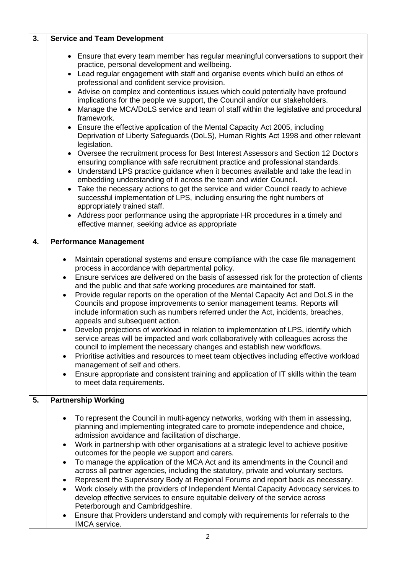| 3. | <b>Service and Team Development</b>                                                                                                                                                                                                                                                                                                                                                                                                                                                                                                                                                                                                                                                                                                                                                                                                                                                                                                                                                                                                                                                                                                                                                                                                                                                                                                                                                                                                                 |  |  |  |  |
|----|-----------------------------------------------------------------------------------------------------------------------------------------------------------------------------------------------------------------------------------------------------------------------------------------------------------------------------------------------------------------------------------------------------------------------------------------------------------------------------------------------------------------------------------------------------------------------------------------------------------------------------------------------------------------------------------------------------------------------------------------------------------------------------------------------------------------------------------------------------------------------------------------------------------------------------------------------------------------------------------------------------------------------------------------------------------------------------------------------------------------------------------------------------------------------------------------------------------------------------------------------------------------------------------------------------------------------------------------------------------------------------------------------------------------------------------------------------|--|--|--|--|
|    | • Ensure that every team member has regular meaningful conversations to support their<br>practice, personal development and wellbeing.<br>• Lead regular engagement with staff and organise events which build an ethos of<br>professional and confident service provision.<br>Advise on complex and contentious issues which could potentially have profound<br>implications for the people we support, the Council and/or our stakeholders.<br>Manage the MCA/DoLS service and team of staff within the legislative and procedural<br>$\bullet$<br>framework.<br>• Ensure the effective application of the Mental Capacity Act 2005, including<br>Deprivation of Liberty Safeguards (DoLS), Human Rights Act 1998 and other relevant<br>legislation.<br>Oversee the recruitment process for Best Interest Assessors and Section 12 Doctors<br>$\bullet$<br>ensuring compliance with safe recruitment practice and professional standards.<br>Understand LPS practice guidance when it becomes available and take the lead in<br>$\bullet$<br>embedding understanding of it across the team and wider Council.<br>Take the necessary actions to get the service and wider Council ready to achieve<br>successful implementation of LPS, including ensuring the right numbers of<br>appropriately trained staff.<br>Address poor performance using the appropriate HR procedures in a timely and<br>effective manner, seeking advice as appropriate |  |  |  |  |
| 4. | <b>Performance Management</b>                                                                                                                                                                                                                                                                                                                                                                                                                                                                                                                                                                                                                                                                                                                                                                                                                                                                                                                                                                                                                                                                                                                                                                                                                                                                                                                                                                                                                       |  |  |  |  |
|    | Maintain operational systems and ensure compliance with the case file management<br>$\bullet$<br>process in accordance with departmental policy.<br>Ensure services are delivered on the basis of assessed risk for the protection of clients<br>$\bullet$<br>and the public and that safe working procedures are maintained for staff.<br>Provide regular reports on the operation of the Mental Capacity Act and DoLS in the<br>$\bullet$<br>Councils and propose improvements to senior management teams. Reports will<br>include information such as numbers referred under the Act, incidents, breaches,<br>appeals and subsequent action.<br>Develop projections of workload in relation to implementation of LPS, identify which<br>service areas will be impacted and work collaboratively with colleagues across the<br>council to implement the necessary changes and establish new workflows.<br>Prioritise activities and resources to meet team objectives including effective workload<br>$\bullet$<br>management of self and others.<br>Ensure appropriate and consistent training and application of IT skills within the team<br>$\bullet$<br>to meet data requirements.                                                                                                                                                                                                                                                           |  |  |  |  |
| 5. | <b>Partnership Working</b>                                                                                                                                                                                                                                                                                                                                                                                                                                                                                                                                                                                                                                                                                                                                                                                                                                                                                                                                                                                                                                                                                                                                                                                                                                                                                                                                                                                                                          |  |  |  |  |
|    | To represent the Council in multi-agency networks, working with them in assessing,<br>$\bullet$<br>planning and implementing integrated care to promote independence and choice,<br>admission avoidance and facilitation of discharge.<br>Work in partnership with other organisations at a strategic level to achieve positive<br>$\bullet$<br>outcomes for the people we support and carers.<br>To manage the application of the MCA Act and its amendments in the Council and<br>$\bullet$<br>across all partner agencies, including the statutory, private and voluntary sectors.<br>Represent the Supervisory Body at Regional Forums and report back as necessary.<br>٠<br>Work closely with the providers of Independent Mental Capacity Advocacy services to<br>$\bullet$<br>develop effective services to ensure equitable delivery of the service across<br>Peterborough and Cambridgeshire.<br>Ensure that Providers understand and comply with requirements for referrals to the<br>$\bullet$<br>IMCA service.                                                                                                                                                                                                                                                                                                                                                                                                                          |  |  |  |  |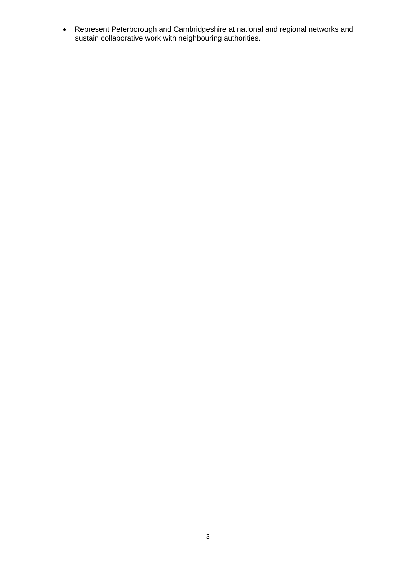| • Represent Peterborough and Cambridgeshire at national and regional networks and |
|-----------------------------------------------------------------------------------|
| sustain collaborative work with neighbouring authorities.                         |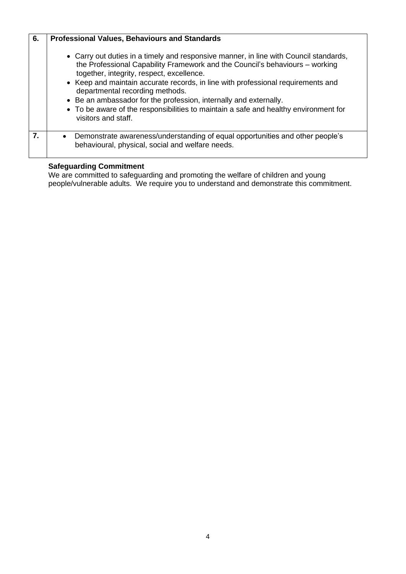| 6. | <b>Professional Values, Behaviours and Standards</b>                                                                                                                                                                                                                                                                                                                                                                                                                                                   |
|----|--------------------------------------------------------------------------------------------------------------------------------------------------------------------------------------------------------------------------------------------------------------------------------------------------------------------------------------------------------------------------------------------------------------------------------------------------------------------------------------------------------|
|    | • Carry out duties in a timely and responsive manner, in line with Council standards,<br>the Professional Capability Framework and the Council's behaviours - working<br>together, integrity, respect, excellence.<br>• Keep and maintain accurate records, in line with professional requirements and<br>departmental recording methods.<br>• Be an ambassador for the profession, internally and externally.<br>• To be aware of the responsibilities to maintain a safe and healthy environment for |
|    | visitors and staff.                                                                                                                                                                                                                                                                                                                                                                                                                                                                                    |
| 7. | Demonstrate awareness/understanding of equal opportunities and other people's<br>behavioural, physical, social and welfare needs.                                                                                                                                                                                                                                                                                                                                                                      |

#### **Safeguarding Commitment**

We are committed to safeguarding and promoting the welfare of children and young people/vulnerable adults. We require you to understand and demonstrate this commitment.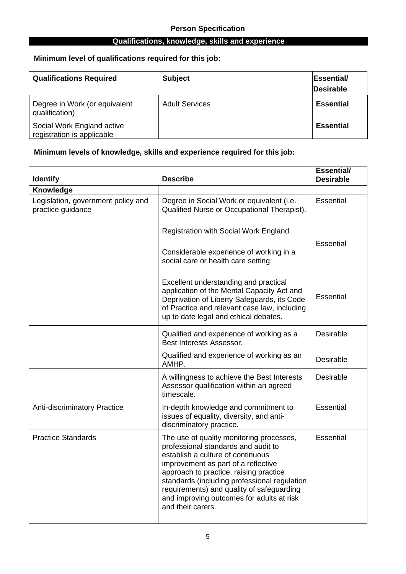#### **Qualifications, knowledge, skills and experience**

## **Minimum level of qualifications required for this job:**

| <b>Qualifications Required</b>                           | <b>Subject</b>        | <b>Essential</b><br><b>Desirable</b> |
|----------------------------------------------------------|-----------------------|--------------------------------------|
| Degree in Work (or equivalent<br>qualification)          | <b>Adult Services</b> | <b>Essential</b>                     |
| Social Work England active<br>registration is applicable |                       | <b>Essential</b>                     |

### **Minimum levels of knowledge, skills and experience required for this job:**

| <b>Identify</b>                                         | <b>Describe</b>                                                                                                                                                                                                                                                                                                                                                      | <b>Essential/</b><br><b>Desirable</b> |
|---------------------------------------------------------|----------------------------------------------------------------------------------------------------------------------------------------------------------------------------------------------------------------------------------------------------------------------------------------------------------------------------------------------------------------------|---------------------------------------|
| Knowledge                                               |                                                                                                                                                                                                                                                                                                                                                                      |                                       |
| Legislation, government policy and<br>practice guidance | Degree in Social Work or equivalent (i.e.<br>Qualified Nurse or Occupational Therapist).                                                                                                                                                                                                                                                                             | <b>Essential</b>                      |
|                                                         | Registration with Social Work England.                                                                                                                                                                                                                                                                                                                               |                                       |
|                                                         | Considerable experience of working in a<br>social care or health care setting.                                                                                                                                                                                                                                                                                       | <b>Essential</b>                      |
|                                                         | Excellent understanding and practical<br>application of the Mental Capacity Act and<br>Deprivation of Liberty Safeguards, its Code<br>of Practice and relevant case law, including<br>up to date legal and ethical debates.                                                                                                                                          | Essential                             |
|                                                         | Qualified and experience of working as a<br>Best Interests Assessor.                                                                                                                                                                                                                                                                                                 | <b>Desirable</b>                      |
|                                                         | Qualified and experience of working as an<br>AMHP.                                                                                                                                                                                                                                                                                                                   | Desirable                             |
|                                                         | A willingness to achieve the Best Interests<br>Assessor qualification within an agreed<br>timescale.                                                                                                                                                                                                                                                                 | <b>Desirable</b>                      |
| Anti-discriminatory Practice                            | In-depth knowledge and commitment to<br>issues of equality, diversity, and anti-<br>discriminatory practice.                                                                                                                                                                                                                                                         | <b>Essential</b>                      |
| <b>Practice Standards</b>                               | The use of quality monitoring processes,<br>professional standards and audit to<br>establish a culture of continuous<br>improvement as part of a reflective<br>approach to practice, raising practice<br>standards (including professional regulation<br>requirements) and quality of safeguarding<br>and improving outcomes for adults at risk<br>and their carers. | <b>Essential</b>                      |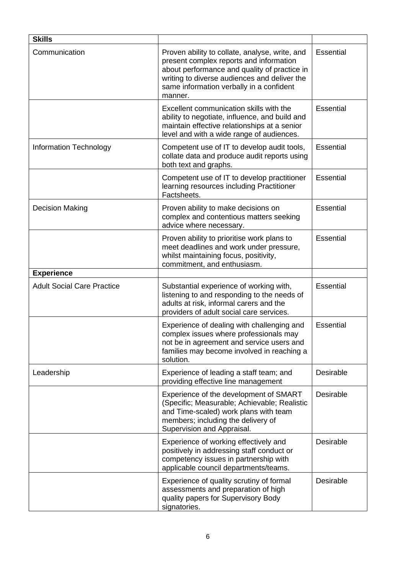| <b>Skills</b>                     |                                                                                                                                                                                                                                                  |                  |
|-----------------------------------|--------------------------------------------------------------------------------------------------------------------------------------------------------------------------------------------------------------------------------------------------|------------------|
| Communication                     | Proven ability to collate, analyse, write, and<br>present complex reports and information<br>about performance and quality of practice in<br>writing to diverse audiences and deliver the<br>same information verbally in a confident<br>manner. | <b>Essential</b> |
|                                   | Excellent communication skills with the<br>ability to negotiate, influence, and build and<br>maintain effective relationships at a senior<br>level and with a wide range of audiences.                                                           | Essential        |
| Information Technology            | Competent use of IT to develop audit tools,<br>collate data and produce audit reports using<br>both text and graphs.                                                                                                                             | <b>Essential</b> |
|                                   | Competent use of IT to develop practitioner<br>learning resources including Practitioner<br>Factsheets.                                                                                                                                          | <b>Essential</b> |
| <b>Decision Making</b>            | Proven ability to make decisions on<br>complex and contentious matters seeking<br>advice where necessary.                                                                                                                                        | <b>Essential</b> |
|                                   | Proven ability to prioritise work plans to<br>meet deadlines and work under pressure,<br>whilst maintaining focus, positivity,<br>commitment, and enthusiasm.                                                                                    | <b>Essential</b> |
| <b>Experience</b>                 |                                                                                                                                                                                                                                                  |                  |
| <b>Adult Social Care Practice</b> | Substantial experience of working with,<br>listening to and responding to the needs of<br>adults at risk, informal carers and the<br>providers of adult social care services.                                                                    | <b>Essential</b> |
|                                   | Experience of dealing with challenging and<br>complex issues where professionals may<br>not be in agreement and service users and<br>families may become involved in reaching a<br>solution.                                                     | <b>Essential</b> |
| Leadership                        | Experience of leading a staff team; and<br>providing effective line management                                                                                                                                                                   | Desirable        |
|                                   | Experience of the development of SMART<br>(Specific; Measurable; Achievable; Realistic<br>and Time-scaled) work plans with team<br>members; including the delivery of<br>Supervision and Appraisal.                                              | Desirable        |
|                                   | Experience of working effectively and<br>positively in addressing staff conduct or<br>competency issues in partnership with<br>applicable council departments/teams.                                                                             | Desirable        |
|                                   | Experience of quality scrutiny of formal<br>assessments and preparation of high<br>quality papers for Supervisory Body<br>signatories.                                                                                                           | Desirable        |